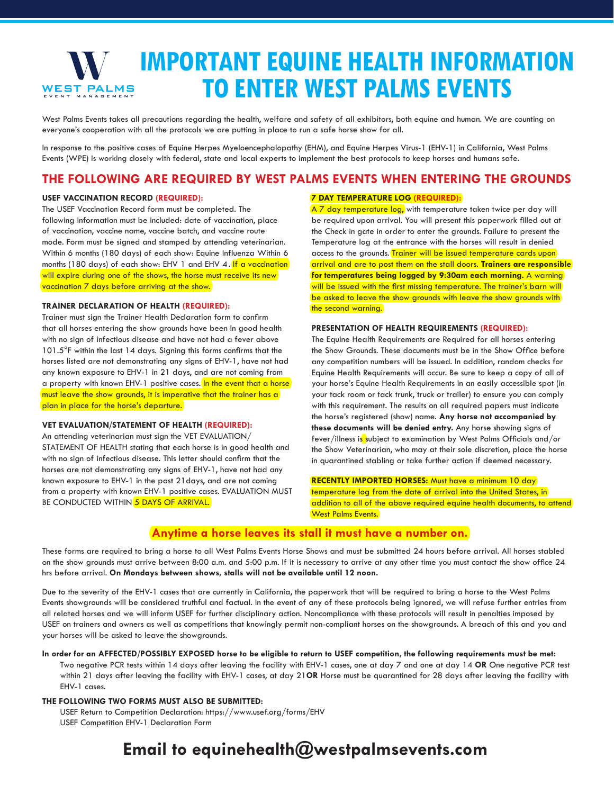## **IMPORTANT EQUINE HEALTH INFORMATION TO ENTER WEST PALMS EVENTS** WEST PALMS

West Palms Events takes all precautions regarding the health, welfare and safety of all exhibitors, both equine and human. We are counting on everyone's cooperation with all the protocols we are putting in place to run a safe horse show for all.

In response to the positive cases of Equine Herpes Myeloencephalopathy (EHM), and Equine Herpes Virus-1 (EHV-1) in California, West Palms Events (WPE) is working closely with federal, state and local experts to implement the best protocols to keep horses and humans safe.

## **THE FOLLOWING ARE REQUIRED BY WEST PALMS EVENTS WHEN ENTERING THE GROUNDS**

#### **USEF VACCINATION RECORD (REQUIRED):**

The USEF Vaccination Record form must be completed. The following information must be included: date of vaccination, place of vaccination, vaccine name, vaccine batch, and vaccine route mode. Form must be signed and stamped by attending veterinarian. Within 6 months (180 days) of each show: Equine Influenza Within 6 months (180 days) of each show: EHV 1 and EHV 4. If a vaccination will expire during one of the shows, the horse must receive its new vaccination 7 days before arriving at the show.

#### **TRAINER DECLARATION OF HEALTH (REQUIRED):**

Trainer must sign the Trainer Health Declaration form to confirm that all horses entering the show grounds have been in good health with no sign of infectious disease and have not had a fever above 101.5°F within the last 14 days. Signing this forms confirms that the horses listed are not demonstrating any signs of EHV-1, have not had any known exposure to EHV-1 in 21 days, and are not coming from a property with known EHV-1 positive cases. In the event that a horse must leave the show grounds, it is imperative that the trainer has a plan in place for the horse's departure.

#### **VET EVALUATION/STATEMENT OF HEALTH (REQUIRED):**

An attending veterinarian must sign the VET EVALUATION/ STATEMENT OF HEALTH stating that each horse is in good health and with no sign of infectious disease. This letter should confirm that the horses are not demonstrating any signs of EHV-1, have not had any known exposure to EHV-1 in the past 21days, and are not coming from a property with known EHV-1 positive cases. EVALUATION MUST BE CONDUCTED WITHIN 5 DAYS OF ARRIVAL.

#### **7 DAY TEMPERATURE LOG (REQUIRED):**

A 7 day temperature log, with temperature taken twice per day will be required upon arrival. You will present this paperwork filled out at the Check in gate in order to enter the grounds. Failure to present the Temperature log at the entrance with the horses will result in denied access to the grounds. Trainer will be issued temperature cards upon arrival and are to post them on the stall doors. **Trainers are responsible for temperatures being logged by 9:30am each morning.** A warning will be issued with the first missing temperature. The trainer's barn will be asked to leave the show grounds with leave the show grounds with the second warning.

#### **PRESENTATION OF HEALTH REQUIREMENTS (REQUIRED):**

The Equine Health Requirements are Required for all horses entering the Show Grounds. These documents must be in the Show Office before any competition numbers will be issued. In addition, random checks for Equine Health Requirements will occur. Be sure to keep a copy of all of your horse's Equine Health Requirements in an easily accessible spot (in your tack room or tack trunk, truck or trailer) to ensure you can comply with this requirement. The results on all required papers must indicate the horse's registered (show) name. **Any horse not accompanied by these documents will be denied entry.** Any horse showing signs of fever/illness is subject to examination by West Palms Officials and/or the Show Veterinarian, who may at their sole discretion, place the horse in quarantined stabling or take further action if deemed necessary.

**RECENTLY IMPORTED HORSES:** Must have a minimum 10 day temperature log from the date of arrival into the United States, in addition to all of the above required equine health documents, to attend West Palms Events.

## **Anytime a horse leaves its stall it must have a number on.**

These forms are required to bring a horse to all West Palms Events Horse Shows and must be submitted 24 hours before arrival. All horses stabled on the show grounds must arrive between 8:00 a.m. and 5:00 p.m. If it is necessary to arrive at any other time you must contact the show office 24 hrs before arrival. **On Mondays between shows, stalls will not be available until 12 noon.**

Due to the severity of the EHV-1 cases that are currently in California, the paperwork that will be required to bring a horse to the West Palms Events showgrounds will be considered truthful and factual. In the event of any of these protocols being ignored, we will refuse further entries from all related horses and we will inform USEF for further disciplinary action. Noncompliance with these protocols will result in penalties imposed by USEF on trainers and owners as well as competitions that knowingly permit non-compliant horses on the showgrounds. A breach of this and you and your horses will be asked to leave the showgrounds.

**In order for an AFFECTED/POSSIBLY EXPOSED horse to be eligible to return to USEF competition, the following requirements must be met:**

Two negative PCR tests within 14 days after leaving the facility with EHV-1 cases, one at day 7 and one at day 14 **OR** One negative PCR test within 21 days after leaving the facility with EHV-1 cases, at day 21**OR** Horse must be quarantined for 28 days after leaving the facility with EHV-1 cases.

#### **THE FOLLOWING TWO FORMS MUST ALSO BE SUBMITTED:**

USEF Return to Competition Declaration: https://www.usef.org/forms/EHV USEF Competition EHV-1 Declaration Form

# **Email to equinehealth@westpalmsevents.com**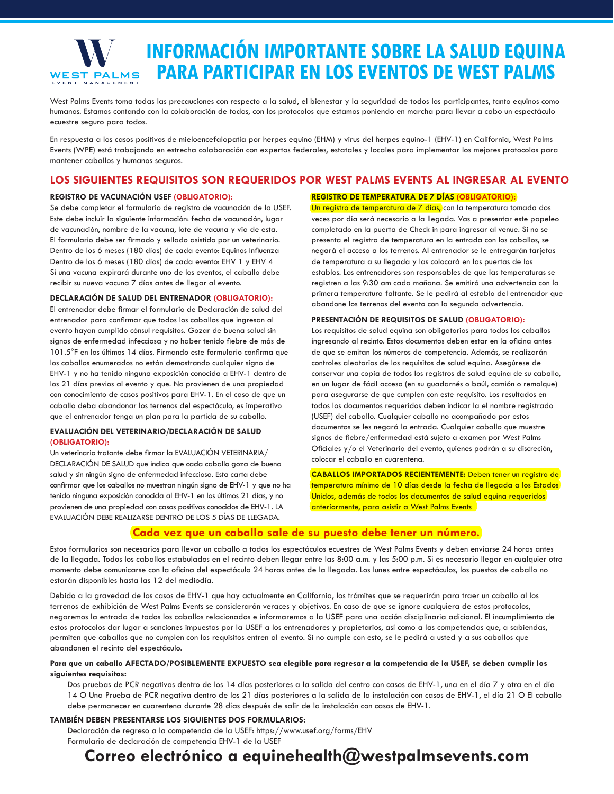

# **INFORMACIÓN IMPORTANTE SOBRE LA SALUD EQUINA PARA PARTICIPAR EN LOS EVENTOS DE WEST PALMS**

West Palms Events toma todas las precauciones con respecto a la salud, el bienestar y la seguridad de todos los participantes, tanto equinos como humanos. Estamos contando con la colaboración de todos, con los protocolos que estamos poniendo en marcha para llevar a cabo un espectáculo ecuestre seguro para todos.

En respuesta a los casos positivos de mieloencefalopatía por herpes equino (EHM) y virus del herpes equino-1 (EHV-1) en California, West Palms Events (WPE) está trabajando en estrecha colaboración con expertos federales, estatales y locales para implementar los mejores protocolos para mantener caballos y humanos seguros.

## **LOS SIGUIENTES REQUISITOS SON REQUERIDOS POR WEST PALMS EVENTS AL INGRESAR AL EVENTO**

#### **REGISTRO DE VACUNACIÓN USEF (OBLIGATORIO):**

Se debe completar el formulario de registro de vacunación de la USEF. Este debe incluir la siguiente información: fecha de vacunación, lugar de vacunación, nombre de la vacuna, lote de vacuna y via de esta. El formulario debe ser firmado y sellado asistido por un veterinario. Dentro de los 6 meses (180 días) de cada evento: Equinos Influenza Dentro de los 6 meses (180 días) de cada evento: EHV 1 y EHV 4 Si una vacuna expirará durante uno de los eventos, el caballo debe recibir su nueva vacuna 7 días antes de llegar al evento.

#### **DECLARACIÓN DE SALUD DEL ENTRENADOR (OBLIGATORIO):**

El entrenador debe firmar el formulario de Declaración de salud del entrenador para confirmar que todos los caballos que ingresan al evento hayan cumplido cónsul requisitos. Gozar de buena salud sin signos de enfermedad infecciosa y no haber tenido fiebre de más de 101.5°F en los últimos 14 días. Firmando este formulario confirma que los caballos enumerados no están demostrando cualquier signo de EHV-1 y no ha tenido ninguna exposición conocida a EHV-1 dentro de los 21 días previos al evento y que. No provienen de una propiedad con conocimiento de casos positivos para EHV-1. En el caso de que un caballo deba abandonar los terrenos del espectáculo, es imperativo que el entrenador tenga un plan para la partida de su caballo.

#### **EVALUACIÓN DEL VETERINARIO/DECLARACIÓN DE SALUD (OBLIGATORIO):**

Un veterinario tratante debe firmar la EVALUACIÓN VETERINARIA/ DECLARACIÓN DE SALUD que indica que cada caballo goza de buena salud y sin ningún signo de enfermedad infecciosa. Esta carta debe confirmar que los caballos no muestran ningún signo de EHV-1 y que no ha tenido ninguna exposición conocida al EHV-1 en los últimos 21 días, y no provienen de una propiedad con casos positivos conocidos de EHV-1. LA EVALUACIÓN DEBE REALIZARSE DENTRO DE LOS 5 DÍAS DE LLEGADA.

## **REGISTRO DE TEMPERATURA DE 7 DÍAS (OBLIGATORIO):**

Un registro de temperatura de 7 días, con la temperatura tomada dos veces por día será necesario a la llegada. Vas a presentar este papeleo completado en la puerta de Check in para ingresar al venue. Si no se presenta el registro de temperatura en la entrada con los caballos, se negará el acceso a los terrenos. Al entrenador se le entregarán tarjetas de temperatura a su llegada y las colocará en las puertas de los establos. Los entrenadores son responsables de que las temperaturas se registren a las 9:30 am cada mañana. Se emitirá una advertencia con la primera temperatura faltante. Se le pedirá al establo del entrenador que abandone los terrenos del evento con la segunda advertencia.

#### **PRESENTACIÓN DE REQUISITOS DE SALUD (OBLIGATORIO):**

Los requisitos de salud equina son obligatorios para todos los caballos ingresando al recinto. Estos documentos deben estar en la oficina antes de que se emitan los números de competencia. Además, se realizarán controles aleatorios de los requisitos de salud equina. Asegúrese de conservar una copia de todos los registros de salud equina de su caballo, en un lugar de fácil acceso (en su guadarnés o baúl, camión o remolque) para asegurarse de que cumplen con este requisito. Los resultados en todos los documentos requeridos deben indicar la el nombre registrado (USEF) del caballo. Cualquier caballo no acompañado por estos documentos se les negará la entrada. Cualquier caballo que muestre signos de fiebre/enfermedad está sujeto a examen por West Palms Oficiales y/o el Veterinario del evento, quienes podrán a su discreción, colocar el caballo en cuarentena.

**CABALLOS IMPORTADOS RECIENTEMENTE:** Deben tener un registro de temperatura mínimo de 10 días desde la fecha de llegada a los Estados Unidos, además de todos los documentos de salud equina requeridos **anteriormente, para asistir a West Palms Events** 

## **Cada vez que un caballo sale de su puesto debe tener un número.**

Estos formularios son necesarios para llevar un caballo a todos los espectáculos ecuestres de West Palms Events y deben enviarse 24 horas antes de la llegada. Todos los caballos estabulados en el recinto deben llegar entre las 8:00 a.m. y las 5:00 p.m. Si es necesario llegar en cualquier otro momento debe comunicarse con la oficina del espectáculo 24 horas antes de la llegada. Los lunes entre espectáculos, los puestos de caballo no estarán disponibles hasta las 12 del mediodía.

Debido a la gravedad de los casos de EHV-1 que hay actualmente en California, los trámites que se requerirán para traer un caballo al los terrenos de exhibición de West Palms Events se considerarán veraces y objetivos. En caso de que se ignore cualquiera de estos protocolos, negaremos la entrada de todos los caballos relacionados e informaremos a la USEF para una acción disciplinaria adicional. El incumplimiento de estos protocolos dar lugar a sanciones impuestas por la USEF a los entrenadores y propietarios, así como a las competencias que, a sabiendas, permiten que caballos que no cumplen con los requisitos entren al evento. Si no cumple con esto, se le pedirá a usted y a sus caballos que abandonen el recinto del espectáculo.

#### **Para que un caballo AFECTADO/POSIBLEMENTE EXPUESTO sea elegible para regresar a la competencia de la USEF, se deben cumplir los siguientes requisitos:**

Dos pruebas de PCR negativas dentro de los 14 días posteriores a la salida del centro con casos de EHV-1, una en el día 7 y otra en el día 14 O Una Prueba de PCR negativa dentro de los 21 días posteriores a la salida de la instalación con casos de EHV-1, el día 21 O El caballo debe permanecer en cuarentena durante 28 días después de salir de la instalación con casos de EHV-1.

#### **TAMBIÉN DEBEN PRESENTARSE LOS SIGUIENTES DOS FORMULARIOS:**

Declaración de regreso a la competencia de la USEF: https://www.usef.org/forms/EHV Formulario de declaración de competencia EHV-1 de la USEF

# **Correo electrónico a equinehealth@westpalmsevents.com**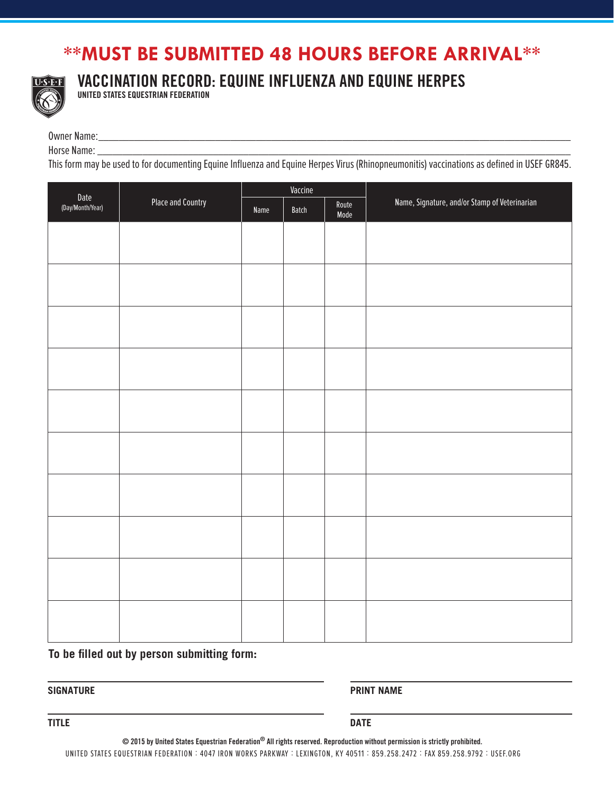# **\*\*MUST BE SUBMITTED 48 HOURS BEFORE ARRIVAL\*\***



VACCINATION RECORD: EQUINE INFLUENZA AND EQUINE HERPES

UNITED STATES EQUESTRIAN FEDERATION

Owner Name: \_\_\_\_\_\_\_\_\_\_\_\_\_\_\_\_\_\_\_\_\_\_\_\_\_\_\_\_\_\_\_\_\_\_\_\_\_\_\_\_\_\_\_\_\_\_\_\_\_\_\_\_\_\_\_\_\_\_\_\_\_\_\_\_\_\_\_\_\_\_\_\_\_\_\_\_\_\_\_\_\_\_\_\_\_\_\_\_\_\_\_\_\_

Horse Name: \_\_\_\_\_\_\_\_\_\_\_\_\_\_\_\_\_\_\_\_\_\_\_\_\_\_\_\_\_\_\_\_\_\_\_\_\_\_\_\_\_\_\_\_\_\_\_\_\_\_\_\_\_\_\_\_\_\_\_\_\_\_\_\_\_\_\_\_\_\_\_\_\_\_\_\_\_\_\_\_\_\_\_\_\_\_\_\_\_\_\_\_\_\_

This form may be used to for documenting Equine Influenza and Equine Herpes Virus (Rhinopneumonitis) vaccinations as defined in USEF GR845.

| Date<br>(Day/Month/Year) | <b>Place and Country</b> | Vaccine |       |               |                                               |  |
|--------------------------|--------------------------|---------|-------|---------------|-----------------------------------------------|--|
|                          |                          | Name    | Batch | Route<br>Mode | Name, Signature, and/or Stamp of Veterinarian |  |
|                          |                          |         |       |               |                                               |  |
|                          |                          |         |       |               |                                               |  |
|                          |                          |         |       |               |                                               |  |
|                          |                          |         |       |               |                                               |  |
|                          |                          |         |       |               |                                               |  |
|                          |                          |         |       |               |                                               |  |
|                          |                          |         |       |               |                                               |  |
|                          |                          |         |       |               |                                               |  |
|                          |                          |         |       |               |                                               |  |
|                          |                          |         |       |               |                                               |  |
|                          |                          |         |       |               |                                               |  |
|                          |                          |         |       |               |                                               |  |
|                          |                          |         |       |               |                                               |  |
|                          |                          |         |       |               |                                               |  |
|                          |                          |         |       |               |                                               |  |
|                          |                          |         |       |               |                                               |  |
|                          |                          |         |       |               |                                               |  |
|                          |                          |         |       |               |                                               |  |
|                          |                          |         |       |               |                                               |  |
|                          |                          |         |       |               |                                               |  |

**To be filled out by person submitting form:**

**SIGNATURE PRINT NAME**

**TITLE DATE**

 $\odot$  2015 by United States Equestrian Federation $^\circledR$  All rights reserved. Reproduction without permission is strictly prohibited.

UNITED STATES EQUESTRIAN FEDERATION : 4047 IRON WORKS PARKWAY : LEXINGTON, KY 40511 : 859.258.2472 : FAX 859.258.9792 : USEF.ORG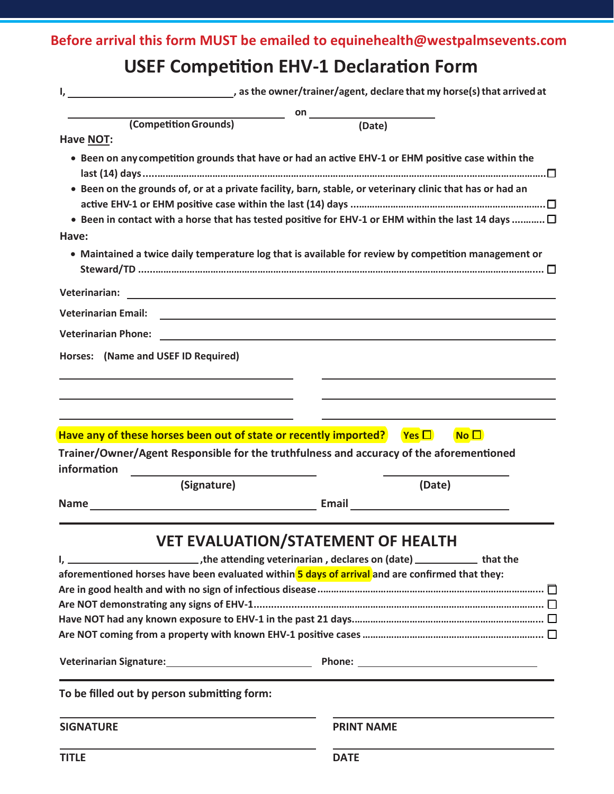**Before arrival this form MUST be emailed to equinehealth@westpalmsevents.com**

# **USEF Competition EHV-1 Declaration Form**

| I,                                                                                                                                                                                                                                             | as the owner/trainer/agent, declare that my horse(s) that arrived at                                                                                                                                                                |
|------------------------------------------------------------------------------------------------------------------------------------------------------------------------------------------------------------------------------------------------|-------------------------------------------------------------------------------------------------------------------------------------------------------------------------------------------------------------------------------------|
|                                                                                                                                                                                                                                                | <b>on</b> and the contract of the contract of the contract of the contract of the contract of the contract of the contract of the contract of the contract of the contract of the contract of the contract of the contract of the c |
| (Competition Grounds)                                                                                                                                                                                                                          | (Date)                                                                                                                                                                                                                              |
| Have NOT:                                                                                                                                                                                                                                      |                                                                                                                                                                                                                                     |
| • Been on any competition grounds that have or had an active EHV-1 or EHM positive case within the                                                                                                                                             |                                                                                                                                                                                                                                     |
| • Been on the grounds of, or at a private facility, barn, stable, or veterinary clinic that has or had an                                                                                                                                      |                                                                                                                                                                                                                                     |
|                                                                                                                                                                                                                                                |                                                                                                                                                                                                                                     |
|                                                                                                                                                                                                                                                | • Been in contact with a horse that has tested positive for EHV-1 or EHM within the last 14 days $\Box$                                                                                                                             |
| Have:                                                                                                                                                                                                                                          |                                                                                                                                                                                                                                     |
|                                                                                                                                                                                                                                                | • Maintained a twice daily temperature log that is available for review by competition management or                                                                                                                                |
| Veterinarian:<br>the control of the control of the control of the control of the control of the control of the control of the control of the control of the control of the control of the control of the control of the control of the control |                                                                                                                                                                                                                                     |
| <b>Veterinarian Email:</b>                                                                                                                                                                                                                     | <u> 1989 - Johann Barbara, martxa alemaniar argumento este alemaniar alemaniar alemaniar alemaniar alemaniar al</u>                                                                                                                 |
| <b>Veterinarian Phone:</b><br><u> 1980 - John Stein, Amerikaansk politiker (* 1900)</u>                                                                                                                                                        |                                                                                                                                                                                                                                     |
| Horses: (Name and USEF ID Required)                                                                                                                                                                                                            |                                                                                                                                                                                                                                     |
|                                                                                                                                                                                                                                                |                                                                                                                                                                                                                                     |
|                                                                                                                                                                                                                                                |                                                                                                                                                                                                                                     |
|                                                                                                                                                                                                                                                |                                                                                                                                                                                                                                     |
| Have any of these horses been out of state or recently imported?                                                                                                                                                                               | No <sup>2</sup><br>$Yes \Box$                                                                                                                                                                                                       |
| Trainer/Owner/Agent Responsible for the truthfulness and accuracy of the aforementioned                                                                                                                                                        |                                                                                                                                                                                                                                     |
| information                                                                                                                                                                                                                                    |                                                                                                                                                                                                                                     |
| (Signature)                                                                                                                                                                                                                                    | (Date)                                                                                                                                                                                                                              |
|                                                                                                                                                                                                                                                | Email <u>__________________</u>                                                                                                                                                                                                     |
|                                                                                                                                                                                                                                                |                                                                                                                                                                                                                                     |
|                                                                                                                                                                                                                                                | <b>VET EVALUATION/STATEMENT OF HEALTH</b>                                                                                                                                                                                           |
| the attending veterinarian, declares on (date) ________________that the                                                                                                                                                                        |                                                                                                                                                                                                                                     |
| aforementioned horses have been evaluated within 5 days of arrival and are confirmed that they:                                                                                                                                                |                                                                                                                                                                                                                                     |
|                                                                                                                                                                                                                                                |                                                                                                                                                                                                                                     |
|                                                                                                                                                                                                                                                |                                                                                                                                                                                                                                     |
|                                                                                                                                                                                                                                                |                                                                                                                                                                                                                                     |
|                                                                                                                                                                                                                                                |                                                                                                                                                                                                                                     |
|                                                                                                                                                                                                                                                |                                                                                                                                                                                                                                     |
| To be filled out by person submitting form:                                                                                                                                                                                                    |                                                                                                                                                                                                                                     |
| <b>SIGNATURE</b>                                                                                                                                                                                                                               | <b>PRINT NAME</b>                                                                                                                                                                                                                   |
| <b>TITLE</b>                                                                                                                                                                                                                                   | <b>DATE</b>                                                                                                                                                                                                                         |